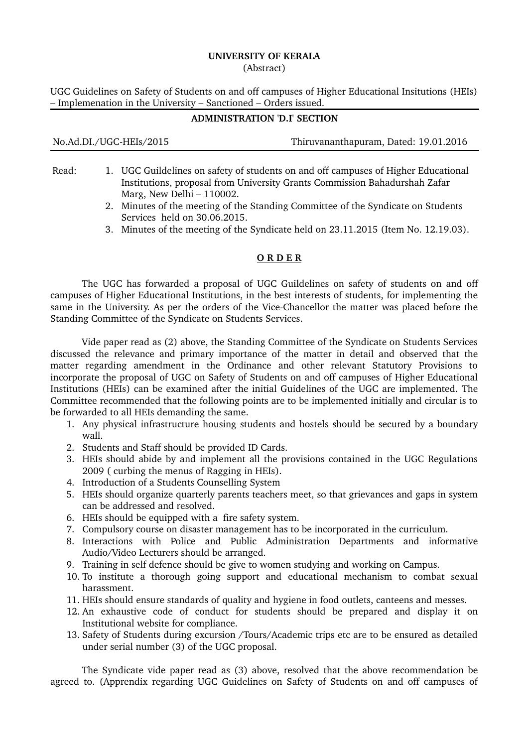# **UNIVERSITY OF KERALA**

(Abstract)

UGC Guidelines on Safety of Students on and off campuses of Higher Educational Insitutions (HEIs) – Implemenation in the University – Sanctioned – Orders issued.

### **ADMINISTRATION 'D.I' SECTION**

No.Ad.DI./UGCHEIs/2015 Thiruvananthapuram, Dated: 19.01.2016

- Read: 1. UGC Guildelines on safety of students on and off campuses of Higher Educational Institutions, proposal from University Grants Commission Bahadurshah Zafar Marg, New Delhi – 110002.
	- 2. Minutes of the meeting of the Standing Committee of the Syndicate on Students Services held on 30.06.2015.
	- 3. Minutes of the meeting of the Syndicate held on 23.11.2015 (Item No. 12.19.03).

### **O R D E R**

The UGC has forwarded a proposal of UGC Guildelines on safety of students on and off campuses of Higher Educational Institutions, in the best interests of students, for implementing the same in the University. As per the orders of the Vice-Chancellor the matter was placed before the Standing Committee of the Syndicate on Students Services.

Vide paper read as (2) above, the Standing Committee of the Syndicate on Students Services discussed the relevance and primary importance of the matter in detail and observed that the matter regarding amendment in the Ordinance and other relevant Statutory Provisions to incorporate the proposal of UGC on Safety of Students on and off campuses of Higher Educational Institutions (HEIs) can be examined after the initial Guidelines of the UGC are implemented. The Committee recommended that the following points are to be implemented initially and circular is to be forwarded to all HEIs demanding the same.

- 1. Any physical infrastructure housing students and hostels should be secured by a boundary wall.
- 2. Students and Staff should be provided ID Cards.
- 3. HEIs should abide by and implement all the provisions contained in the UGC Regulations 2009 ( curbing the menus of Ragging in HEIs).
- 4. Introduction of a Students Counselling System
- 5. HEIs should organize quarterly parents teachers meet, so that grievances and gaps in system can be addressed and resolved.
- 6. HEIs should be equipped with a fire safety system.
- 7. Compulsory course on disaster management has to be incorporated in the curriculum.
- 8. Interactions with Police and Public Administration Departments and informative Audio/Video Lecturers should be arranged.
- 9. Training in self defence should be give to women studying and working on Campus.
- 10. To institute a thorough going support and educational mechanism to combat sexual harassment.
- 11. HEIs should ensure standards of quality and hygiene in food outlets, canteens and messes.
- 12. An exhaustive code of conduct for students should be prepared and display it on Institutional website for compliance.
- 13. Safety of Students during excursion /Tours/Academic trips etc are to be ensured as detailed under serial number (3) of the UGC proposal.

The Syndicate vide paper read as (3) above, resolved that the above recommendation be agreed to. (Apprendix regarding UGC Guidelines on Safety of Students on and off campuses of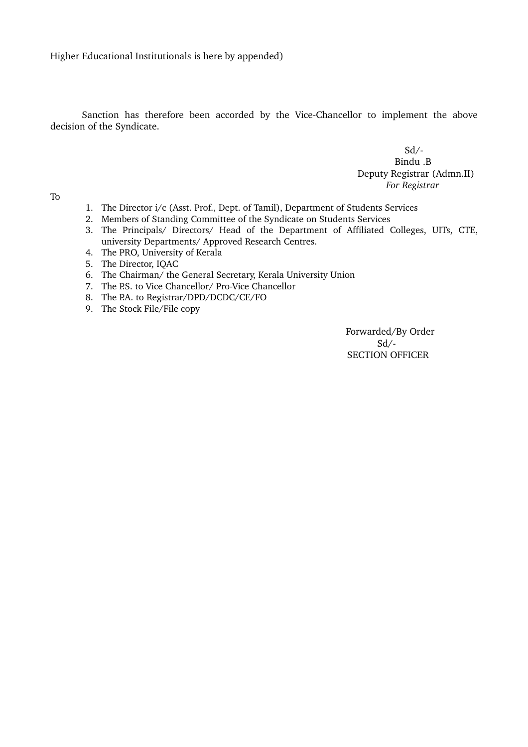Higher Educational Institutionals is here by appended)

Sanction has therefore been accorded by the Vice-Chancellor to implement the above decision of the Syndicate.

> $Sd$  /- Bindu .B Deputy Registrar (Admn.II)  *For Registrar*

To

- 1. The Director i/c (Asst. Prof., Dept. of Tamil), Department of Students Services
- 2. Members of Standing Committee of the Syndicate on Students Services
- 3. The Principals/ Directors/ Head of the Department of Affiliated Colleges, UITs, CTE, university Departments/ Approved Research Centres.
- 4. The PRO, University of Kerala
- 5. The Director, IQAC
- 6. The Chairman/ the General Secretary, Kerala University Union
- 7. The P.S. to Vice Chancellor/ Pro-Vice Chancellor
- 8. The P.A. to Registrar/DPD/DCDC/CE/FO
- 9. The Stock File/File copy

Forwarded/By Order  $Sd/$ SECTION OFFICER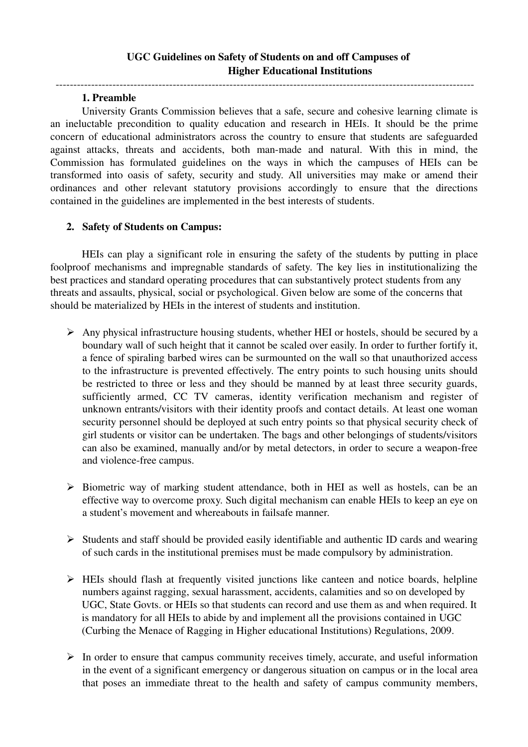## 1. Preamble

University Grants Commission believes that a safe, secure and cohesive learning climate is an ineluctable precondition to quality education and research in HEIs. It should be the prime concern of educational administrators across the country to ensure that students are safeguarded against attacks, threats and accidents, both man-made and natural. With this in mind, the Commission has formulated guidelines on the ways in which the campuses of HEIs can be transformed into oasis of safety, security and study. All universities may make or amend their ordinances and other relevant statutory provisions accordingly to ensure that the directions contained in the guidelines are implemented in the best interests of students.

# 2. Safety of Students on Campus:

HEIs can play a significant role in ensuring the safety of the students by putting in place foolproof mechanisms and impregnable standards of safety. The key lies in institutionalizing the best practices and standard operating procedures that can substantively protect students from any threats and assaults, physical, social or psychological. Given below are some of the concerns that should be materialized by HEIs in the interest of students and institution.

- ➢ Any physical infrastructure housing students, whether HEI or hostels, should be secured by a boundary wall of such height that it cannot be scaled over easily. In order to further fortify it, a fence of spiraling barbed wires can be surmounted on the wall so that unauthorized access to the infrastructure is prevented effectively. The entry points to such housing units should be restricted to three or less and they should be manned by at least three security guards, sufficiently armed, CC TV cameras, identity verification mechanism and register of unknown entrants/visitors with their identity proofs and contact details. At least one woman security personnel should be deployed at such entry points so that physical security check of girl students or visitor can be undertaken. The bags and other belongings of students/visitors can also be examined, manually and/or by metal detectors, in order to secure a weapon-free and violence-free campus.
- ➢ Biometric way of marking student attendance, both in HEI as well as hostels, can be an effective way to overcome proxy. Such digital mechanism can enable HEIs to keep an eye on a student's movement and whereabouts in failsafe manner.
- ➢ Students and staff should be provided easily identifiable and authentic ID cards and wearing of such cards in the institutional premises must be made compulsory by administration.
- $\triangleright$  HEIs should flash at frequently visited junctions like canteen and notice boards, helpline numbers against ragging, sexual harassment, accidents, calamities and so on developed by UGC, State Govts. or HEIs so that students can record and use them as and when required. It is mandatory for all HEIs to abide by and implement all the provisions contained in UGC (Curbing the Menace of Ragging in Higher educational Institutions) Regulations, 2009.
- $\triangleright$  In order to ensure that campus community receives timely, accurate, and useful information in the event of a significant emergency or dangerous situation on campus or in the local area that poses an immediate threat to the health and safety of campus community members,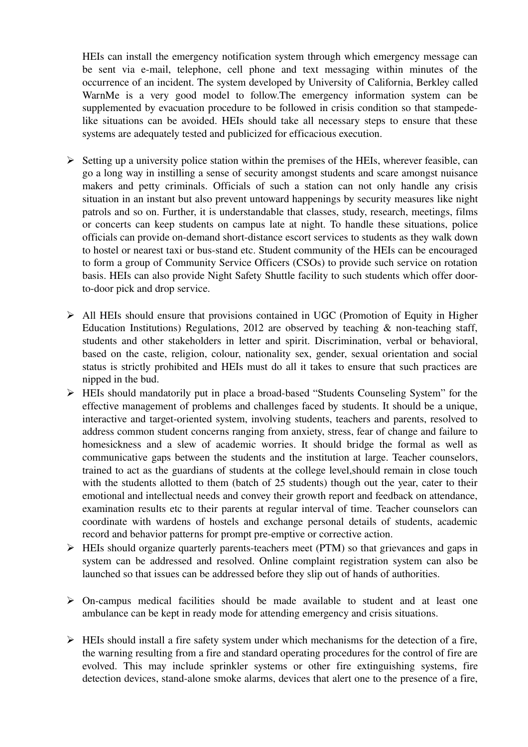HEIs can install the emergency notification system through which emergency message can be sent via e-mail, telephone, cell phone and text messaging within minutes of the occurrence of an incident. The system developed by University of California, Berkley called WarnMe is a very good model to follow. The emergency information system can be supplemented by evacuation procedure to be followed in crisis condition so that stampedelike situations can be avoided. HEIs should take all necessary steps to ensure that these systems are adequately tested and publicized for efficacious execution.

- $\triangleright$  Setting up a university police station within the premises of the HEIs, wherever feasible, can go a long way in instilling a sense of security amongst students and scare amongst nuisance makers and petty criminals. Officials of such a station can not only handle any crisis situation in an instant but also prevent untoward happenings by security measures like night patrols and so on. Further, it is understandable that classes, study, research, meetings, films or concerts can keep students on campus late at night. To handle these situations, police officials can provide on-demand short-distance escort services to students as they walk down to hostel or nearest taxi or bus-stand etc. Student community of the HEIs can be encouraged to form a group of Community Service Officers (CSOs) to provide such service on rotation basis. HEIs can also provide Night Safety Shuttle facility to such students which offer doorto-door pick and drop service.
- ➢ All HEIs should ensure that provisions contained in UGC (Promotion of Equity in Higher Education Institutions) Regulations, 2012 are observed by teaching  $\&$  non-teaching staff, students and other stakeholders in letter and spirit. Discrimination, verbal or behavioral, based on the caste, religion, colour, nationality sex, gender, sexual orientation and social status is strictly prohibited and HEIs must do all it takes to ensure that such practices are nipped in the bud.
- $\triangleright$  HEIs should mandatorily put in place a broad-based "Students Counseling System" for the effective management of problems and challenges faced by students. It should be a unique, interactive and target-oriented system, involving students, teachers and parents, resolved to address common student concerns ranging from anxiety, stress, fear of change and failure to homesickness and a slew of academic worries. It should bridge the formal as well as communicative gaps between the students and the institution at large. Teacher counselors, trained to act as the guardians of students at the college level,should remain in close touch with the students allotted to them (batch of 25 students) though out the year, cater to their emotional and intellectual needs and convey their growth report and feedback on attendance, examination results etc to their parents at regular interval of time. Teacher counselors can coordinate with wardens of hostels and exchange personal details of students, academic record and behavior patterns for prompt pre-emptive or corrective action.
- $\triangleright$  HEIs should organize quarterly parents-teachers meet (PTM) so that grievances and gaps in system can be addressed and resolved. Online complaint registration system can also be launched so that issues can be addressed before they slip out of hands of authorities.
- $\triangleright$  On-campus medical facilities should be made available to student and at least one ambulance can be kept in ready mode for attending emergency and crisis situations.
- ➢ HEIs should install a fire safety system under which mechanisms for the detection of a fire, the warning resulting from a fire and standard operating procedures for the control of fire are evolved. This may include sprinkler systems or other fire extinguishing systems, fire detection devices, stand-alone smoke alarms, devices that alert one to the presence of a fire,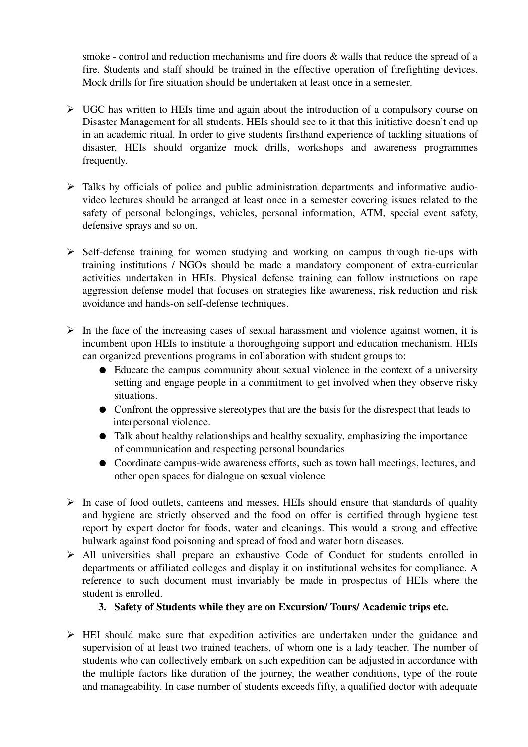smoke - control and reduction mechanisms and fire doors  $\&$  walls that reduce the spread of a fire. Students and staff should be trained in the effective operation of firefighting devices. Mock drills for fire situation should be undertaken at least once in a semester.

- ➢ UGC has written to HEIs time and again about the introduction of a compulsory course on Disaster Management for all students. HEIs should see to it that this initiative doesn't end up in an academic ritual. In order to give students firsthand experience of tackling situations of disaster, HEIs should organize mock drills, workshops and awareness programmes frequently.
- ➢ Talks by officials of police and public administration departments and informative audiovideo lectures should be arranged at least once in a semester covering issues related to the safety of personal belongings, vehicles, personal information, ATM, special event safety, defensive sprays and so on.
- $\triangleright$  Self-defense training for women studying and working on campus through tie-ups with training institutions / NGOs should be made a mandatory component of extra-curricular activities undertaken in HEIs. Physical defense training can follow instructions on rape aggression defense model that focuses on strategies like awareness, risk reduction and risk avoidance and hands-on self-defense techniques.
- $\triangleright$  In the face of the increasing cases of sexual harassment and violence against women, it is incumbent upon HEIs to institute a thoroughgoing support and education mechanism. HEIs can organized preventions programs in collaboration with student groups to:
	- Educate the campus community about sexual violence in the context of a university setting and engage people in a commitment to get involved when they observe risky situations.
	- Confront the oppressive stereotypes that are the basis for the disrespect that leads to interpersonal violence.
	- Talk about healthy relationships and healthy sexuality, emphasizing the importance of communication and respecting personal boundaries
	- Coordinate campus-wide awareness efforts, such as town hall meetings, lectures, and other open spaces for dialogue on sexual violence
- $\triangleright$  In case of food outlets, canteens and messes, HEIs should ensure that standards of quality and hygiene are strictly observed and the food on offer is certified through hygiene test report by expert doctor for foods, water and cleanings. This would a strong and effective bulwark against food poisoning and spread of food and water born diseases.
- $\triangleright$  All universities shall prepare an exhaustive Code of Conduct for students enrolled in departments or affiliated colleges and display it on institutional websites for compliance. A reference to such document must invariably be made in prospectus of HEIs where the student is enrolled.
	- 3. Safety of Students while they are on Excursion/ Tours/ Academic trips etc.
- ➢ HEI should make sure that expedition activities are undertaken under the guidance and supervision of at least two trained teachers, of whom one is a lady teacher. The number of students who can collectively embark on such expedition can be adjusted in accordance with the multiple factors like duration of the journey, the weather conditions, type of the route and manageability. In case number of students exceeds fifty, a qualified doctor with adequate